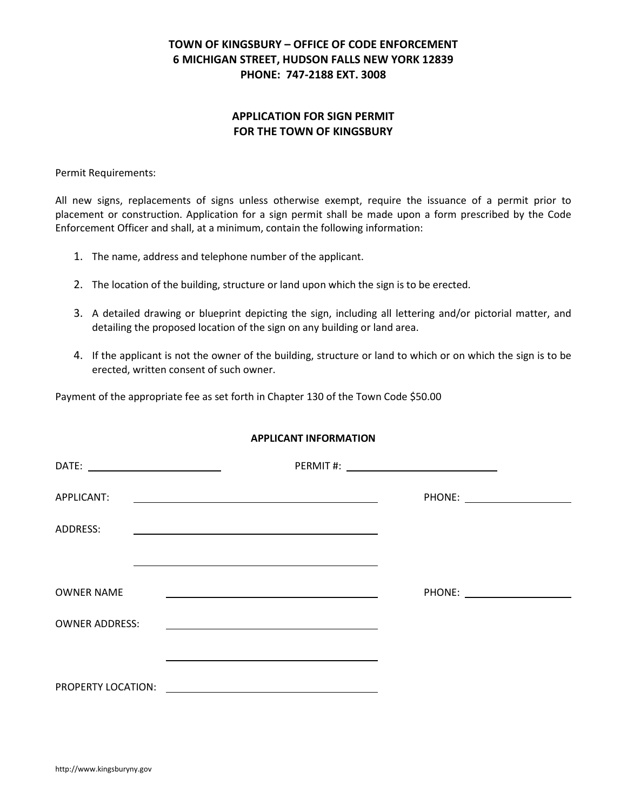### **APPLICATION FOR SIGN PERMIT FOR THE TOWN OF KINGSBURY**

Permit Requirements:

All new signs, replacements of signs unless otherwise exempt, require the issuance of a permit prior to placement or construction. Application for a sign permit shall be made upon a form prescribed by the Code Enforcement Officer and shall, at a minimum, contain the following information:

- 1. The name, address and telephone number of the applicant.
- 2. The location of the building, structure or land upon which the sign is to be erected.
- 3. A detailed drawing or blueprint depicting the sign, including all lettering and/or pictorial matter, and detailing the proposed location of the sign on any building or land area.
- 4. If the applicant is not the owner of the building, structure or land to which or on which the sign is to be erected, written consent of such owner.

Payment of the appropriate fee as set forth in Chapter 130 of the Town Code \$50.00

### **APPLICANT INFORMATION**

| APPLICANT:<br><u> 1989 - Johann Barbara, martxa alemaniar argametria (h. 1989).</u>            |  |
|------------------------------------------------------------------------------------------------|--|
| ADDRESS:                                                                                       |  |
|                                                                                                |  |
| <b>OWNER NAME</b>                                                                              |  |
| <b>OWNER ADDRESS:</b>                                                                          |  |
|                                                                                                |  |
| <b>PROPERTY LOCATION:</b><br><u> 1989 - Johann Stein, mars an de British Barbara (b. 1989)</u> |  |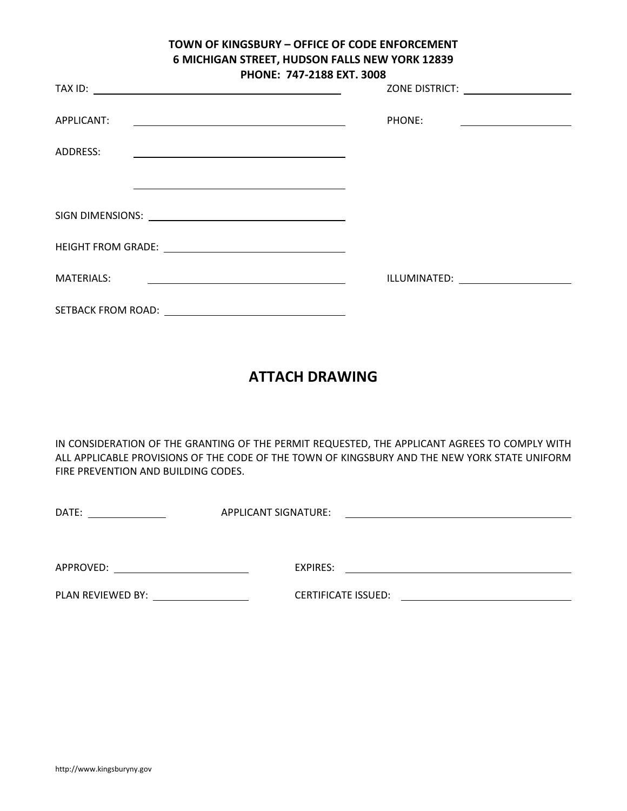| <b>FRUNE.</b> 747-4100 EAT. 5000                                                                                                 |                                                                                                                                   |  |
|----------------------------------------------------------------------------------------------------------------------------------|-----------------------------------------------------------------------------------------------------------------------------------|--|
|                                                                                                                                  | ZONE DISTRICT: _____________________                                                                                              |  |
| APPLICANT:<br><u> 1980 - Andrea Barbara, amerikan personal (h. 1980).</u>                                                        | PHONE:<br><u> Alexandro Alexandro Alexandro Alexandro Alexandro Alexandro Alexandro Alexandro Alexandro Alexandro Alexandro A</u> |  |
| ADDRESS:<br><u> 1989 - Johann Stein, marwolaethau a bhann an t-Amhair an t-Amhair an t-Amhair an t-Amhair an t-Amhair an t-A</u> |                                                                                                                                   |  |
|                                                                                                                                  |                                                                                                                                   |  |
|                                                                                                                                  |                                                                                                                                   |  |
| HEIGHT FROM GRADE: <u>_______________________________</u>                                                                        |                                                                                                                                   |  |
| <b>MATERIALS:</b>                                                                                                                | ILLUMINATED: ______________________                                                                                               |  |
| SETBACK FROM ROAD: <u>__________________________________</u>                                                                     |                                                                                                                                   |  |

# **ATTACH DRAWING**

IN CONSIDERATION OF THE GRANTING OF THE PERMIT REQUESTED, THE APPLICANT AGREES TO COMPLY WITH ALL APPLICABLE PROVISIONS OF THE CODE OF THE TOWN OF KINGSBURY AND THE NEW YORK STATE UNIFORM FIRE PREVENTION AND BUILDING CODES.

| DATE:             | APPLICANT SIGNATURE:       |  |
|-------------------|----------------------------|--|
|                   |                            |  |
|                   |                            |  |
| APPROVED:         | EXPIRES:                   |  |
| PLAN REVIEWED BY: | <b>CERTIFICATE ISSUED:</b> |  |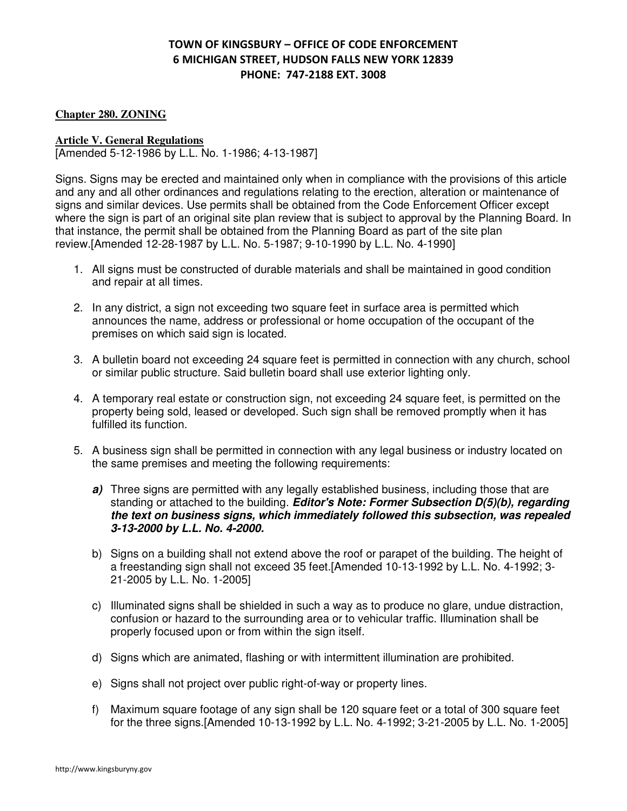### **Chapter 280. ZONING**

### **Article V. General Regulations**

[Amended 5-12-1986 by L.L. No. 1-1986; 4-13-1987]

Signs. Signs may be erected and maintained only when in compliance with the provisions of this article and any and all other ordinances and regulations relating to the erection, alteration or maintenance of signs and similar devices. Use permits shall be obtained from the Code Enforcement Officer except where the sign is part of an original site plan review that is subject to approval by the Planning Board. In that instance, the permit shall be obtained from the Planning Board as part of the site plan review.[Amended 12-28-1987 by L.L. No. 5-1987; 9-10-1990 by L.L. No. 4-1990]

- 1. All signs must be constructed of durable materials and shall be maintained in good condition and repair at all times.
- 2. In any district, a sign not exceeding two square feet in surface area is permitted which announces the name, address or professional or home occupation of the occupant of the premises on which said sign is located.
- 3. A bulletin board not exceeding 24 square feet is permitted in connection with any church, school or similar public structure. Said bulletin board shall use exterior lighting only.
- 4. A temporary real estate or construction sign, not exceeding 24 square feet, is permitted on the property being sold, leased or developed. Such sign shall be removed promptly when it has fulfilled its function.
- 5. A business sign shall be permitted in connection with any legal business or industry located on the same premises and meeting the following requirements:
	- a) Three signs are permitted with any legally established business, including those that are standing or attached to the building. *Editor's Note: Former Subsection D(5)(b), regarding the text on business signs, which immediately followed this subsection, was repealed 3-13-2000 by L.L. No. 4-2000.*
	- b) Signs on a building shall not extend above the roof or parapet of the building. The height of a freestanding sign shall not exceed 35 feet.[Amended 10-13-1992 by L.L. No. 4-1992; 3- 21-2005 by L.L. No. 1-2005]
	- c) Illuminated signs shall be shielded in such a way as to produce no glare, undue distraction, confusion or hazard to the surrounding area or to vehicular traffic. Illumination shall be properly focused upon or from within the sign itself.
	- d) Signs which are animated, flashing or with intermittent illumination are prohibited.
	- e) Signs shall not project over public right-of-way or property lines.
	- f) Maximum square footage of any sign shall be 120 square feet or a total of 300 square feet for the three signs.[Amended 10-13-1992 by L.L. No. 4-1992; 3-21-2005 by L.L. No. 1-2005]